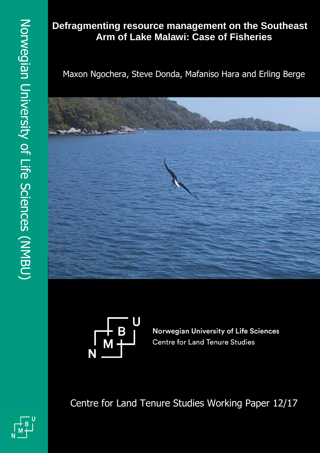# **Defragmenting resource management on the Southeast Arm of Lake Malawi: Case of Fisheries**

Maxon Ngochera, Steve Donda, Mafaniso Hara and Erling Berge





**Norwegian University of Life Sciences Centre for Land Tenure Studies** 

Centre for Land Tenure Studies Working Paper 12/17

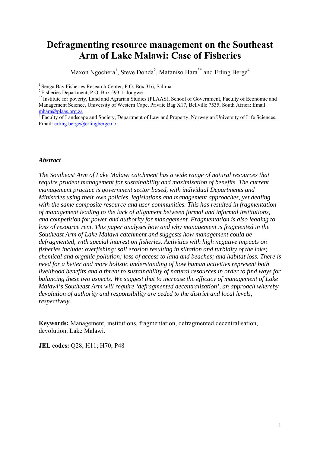# **Defragmenting resource management on the Southeast Arm of Lake Malawi: Case of Fisheries**

Maxon Ngochera<sup>1</sup>, Steve Donda<sup>2</sup>, Mafaniso Hara<sup>3\*</sup> and Erling Berge<sup>4</sup>

1 Senga Bay Fisheries Research Center, P.O. Box 316, Salima 2 Fisheries Department, P.O. Box 593, Lilongwe

<sup>3\*</sup> Institute for poverty, Land and Agrarian Studies (PLAAS), School of Government, Faculty of Economic and Management Science, University of Western Cape, Private Bag X17, Bellville 7535, South Africa: Email: mhara@plaas.org.za 4

<sup>4</sup> Faculty of Landscape and Society, Department of Law and Property, Norwegian University of Life Sciences. Email: erling.berge@erlingberge.no

## *Abstract*

*The Southeast Arm of Lake Malawi catchment has a wide range of natural resources that require prudent management for sustainability and maximisation of benefits. The current management practice is government sector based, with individual Departments and Ministries using their own policies, legislations and management approaches, yet dealing with the same composite resource and user communities. This has resulted in fragmentation of management leading to the lack of alignment between formal and informal institutions, and competition for power and authority for management. Fragmentation is also leading to loss of resource rent. This paper analyses how and why management is fragmented in the Southeast Arm of Lake Malawi catchment and suggests how management could be defragmented, with special interest on fisheries. Activities with high negative impacts on fisheries include: overfishing; soil erosion resulting in siltation and turbidity of the lake; chemical and organic pollution; loss of access to land and beaches; and habitat loss. There is need for a better and more holistic understanding of how human activities represent both livelihood benefits and a threat to sustainability of natural resources in order to find ways for balancing these two aspects. We suggest that to increase the efficacy of management of Lake Malawi's Southeast Arm will require 'defragmented decentralization', an approach whereby devolution of authority and responsibility are ceded to the district and local levels, respectively.* 

**Keywords:** Management, institutions, fragmentation, defragmented decentralisation, devolution, Lake Malawi.

**JEL codes:** Q28; H11; H70; P48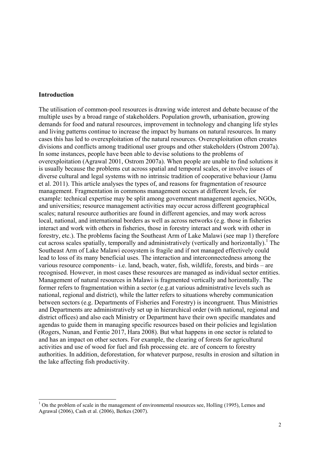#### **Introduction**

-

The utilisation of common-pool resources is drawing wide interest and debate because of the multiple uses by a broad range of stakeholders. Population growth, urbanisation, growing demands for food and natural resources, improvement in technology and changing life styles and living patterns continue to increase the impact by humans on natural resources. In many cases this has led to overexploitation of the natural resources. Overexploitation often creates divisions and conflicts among traditional user groups and other stakeholders (Ostrom 2007a). In some instances, people have been able to devise solutions to the problems of overexploitation (Agrawal 2001, Ostrom 2007a). When people are unable to find solutions it is usually because the problems cut across spatial and temporal scales, or involve issues of diverse cultural and legal systems with no intrinsic tradition of cooperative behaviour (Jamu et al. 2011). This article analyses the types of, and reasons for fragmentation of resource management. Fragmentation in commons management occurs at different levels, for example: technical expertise may be split among government management agencies, NGOs, and universities; resource management activities may occur across different geographical scales; natural resource authorities are found in different agencies, and may work across local, national, and international borders as well as across networks (e.g. those in fisheries interact and work with others in fisheries, those in forestry interact and work with other in forestry, etc.). The problems facing the Southeast Arm of Lake Malawi (see map 1) therefore cut across scales spatially, temporally and administratively (vertically and horizontally).<sup>1</sup> The Southeast Arm of Lake Malawi ecosystem is fragile and if not managed effectively could lead to loss of its many beneficial uses. The interaction and interconnectedness among the various resource components– i.e. land, beach, water, fish, wildlife, forests, and birds – are recognised. However, in most cases these resources are managed as individual sector entities. Management of natural resources in Malawi is fragmented vertically and horizontally. The former refers to fragmentation within a sector (e.g.at various administrative levels such as national, regional and district), while the latter refers to situations whereby communication between sectors (e.g. Departments of Fisheries and Forestry) is incongruent. Thus Ministries and Departments are administratively set up in hierarchical order (with national, regional and district offices) and also each Ministry or Department have their own specific mandates and agendas to guide them in managing specific resources based on their policies and legislation (Rogers, Nunan, and Fentie 2017, Hara 2008). But what happens in one sector is related to and has an impact on other sectors. For example, the clearing of forests for agricultural activities and use of wood for fuel and fish processing etc. are of concern to forestry authorities. In addition, deforestation, for whatever purpose, results in erosion and siltation in the lake affecting fish productivity.

 $1$  On the problem of scale in the management of environmental resources see, Holling (1995), Lemos and Agrawal (2006), Cash et al. (2006), Berkes (2007).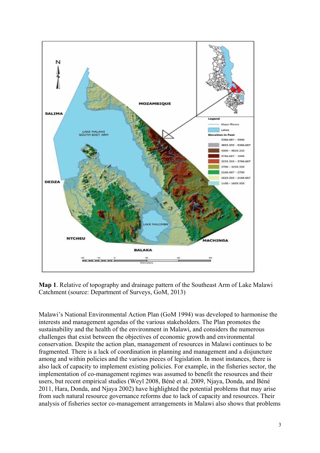

**Map 1**. Relative of topography and drainage pattern of the Southeast Arm of Lake Malawi Catchment (source: Department of Surveys, GoM, 2013)

Malawi's National Environmental Action Plan (GoM 1994) was developed to harmonise the interests and management agendas of the various stakeholders. The Plan promotes the sustainability and the health of the environment in Malawi, and considers the numerous challenges that exist between the objectives of economic growth and environmental conservation. Despite the action plan, management of resources in Malawi continues to be fragmented. There is a lack of coordination in planning and management and a disjuncture among and within policies and the various pieces of legislation. In most instances, there is also lack of capacity to implement existing policies. For example, in the fisheries sector, the implementation of co-management regimes was assumed to benefit the resources and their users, but recent empirical studies (Weyl 2008, Béné et al. 2009, Njaya, Donda, and Béné 2011, Hara, Donda, and Njaya 2002) have highlighted the potential problems that may arise from such natural resource governance reforms due to lack of capacity and resources. Their analysis of fisheries sector co-management arrangements in Malawi also shows that problems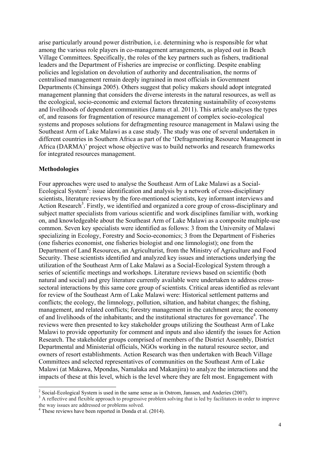arise particularly around power distribution, i.e. determining who is responsible for what among the various role players in co-management arrangements, as played out in Beach Village Committees. Specifically, the roles of the key partners such as fishers, traditional leaders and the Department of Fisheries are imprecise or conflicting. Despite enabling policies and legislation on devolution of authority and decentralisation, the norms of centralised management remain deeply ingrained in most officials in Government Departments (Chinsinga 2005). Others suggest that policy makers should adopt integrated management planning that considers the diverse interests in the natural resources, as well as the ecological, socio-economic and external factors threatening sustainability of ecosystems and livelihoods of dependent communities (Jamu et al. 2011). This article analyses the types of, and reasons for fragmentation of resource management of complex socio-ecological systems and proposes solutions for defragmenting resource management in Malawi using the Southeast Arm of Lake Malawi as a case study. The study was one of several undertaken in different countries in Southern Africa as part of the 'Defragmenting Resource Management in Africa (DARMA)' project whose objective was to build networks and research frameworks for integrated resources management.

#### **Methodologies**

Four approaches were used to analyse the Southeast Arm of Lake Malawi as a Social-Ecological System<sup>2</sup>: issue identification and analysis by a network of cross-disciplinary scientists, literature reviews by the fore-mentioned scientists, key informant interviews and Action Research<sup>3</sup>. Firstly, we identified and organized a core group of cross-disciplinary and subject matter specialists from various scientific and work disciplines familiar with, working on, and knowledgeable about the Southeast Arm of Lake Malawi as a composite multiple-use common. Seven key specialists were identified as follows: 3 from the University of Malawi specializing in Ecology, Forestry and Socio-economics; 3 from the Department of Fisheries (one fisheries economist, one fisheries biologist and one limnologist); one from the Department of Land Resources, an Agriculturist, from the Ministry of Agriculture and Food Security. These scientists identified and analyzed key issues and interactions underlying the utilization of the Southeast Arm of Lake Malawi as a Social-Ecological System through a series of scientific meetings and workshops. Literature reviews based on scientific (both natural and social) and grey literature currently available were undertaken to address crosssectoral interactions by this same core group of scientists. Critical areas identified as relevant for review of the Southeast Arm of Lake Malawi were: Historical settlement patterns and conflicts; the ecology, the limnology, pollution, siltation, and habitat changes; the fishing, management, and related conflicts; forestry management in the catchment area; the economy of and livelihoods of the inhabitants; and the institutional structures for governance<sup>4</sup>. The reviews were then presented to key stakeholder groups utilizing the Southeast Arm of Lake Malawi to provide opportunity for comment and inputs and also identify the issues for Action Research. The stakeholder groups comprised of members of the District Assembly, District Departmental and Ministerial officials, NGOs working in the natural resource sector, and owners of resort establishments. Action Research was then undertaken with Beach Village Committees and selected representatives of communities on the Southeast Arm of Lake Malawi (at Makawa, Mpondas, Namalaka and Makanjira) to analyze the interactions and the impacts of these at this level, which is the level where they are felt most. Engagement with

<sup>&</sup>lt;sup>2</sup> Social-Ecological System is used in the same sense as in Ostrom, Janssen, and Anderies (2007).

<sup>&</sup>lt;sup>3</sup> A reflective and flexible approach to progressive problem solving that is led by facilitators in order to improve the way issues are addressed or problems solved.

<sup>&</sup>lt;sup>4</sup> These reviews have been reported in Donda et al. (2014).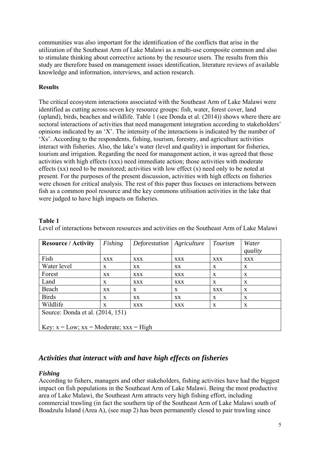communities was also important for the identification of the conflicts that arise in the utilization of the Southeast Arm of Lake Malawi as a multi-use composite common and also to stimulate thinking about corrective actions by the resource users. The results from this study are therefore based on management issues identification, literature reviews of available knowledge and information, interviews, and action research.

# **Results**

The critical ecosystem interactions associated with the Southeast Arm of Lake Malawi were identified as cutting across seven key resource groups: fish, water, forest cover, land (upland), birds, beaches and wildlife. Table 1 (see Donda et al. (2014)) shows where there are sectoral interactions of activities that need management integration according to stakeholders' opinions indicated by an 'X'. The intensity of the interactions is indicated by the number of 'Xs'. According to the respondents, fishing, tourism, forestry, and agriculture activities interact with fisheries. Also, the lake's water (level and quality) is important for fisheries, tourism and irrigation. Regarding the need for management action, it was agreed that those activities with high effects (xxx) need immediate action; those activities with moderate effects (xx) need to be monitored; activities with low effect (x) need only to be noted at present. For the purposes of the present discussion, activities with high effects on fisheries were chosen for critical analysis. The rest of this paper thus focuses on interactions between fish as a common pool resource and the key commons utilisation activities in the lake that were judged to have high impacts on fisheries.

## **Table 1**

Level of interactions between resources and activities on the Southeast Arm of Lake Malawi

| <b>Resource / Activity</b>       | Fishing      | Deforestation   Agriculture |            | Tourism    | Water<br>quality |
|----------------------------------|--------------|-----------------------------|------------|------------|------------------|
|                                  |              |                             |            |            |                  |
| Fish                             | <b>XXX</b>   | <b>XXX</b>                  | <b>XXX</b> | <b>XXX</b> | <b>XXX</b>       |
| Water level                      | X            | <b>XX</b>                   | XX         | X          | X                |
| Forest                           | XX           | <b>XXX</b>                  | <b>XXX</b> | X          | X                |
| Land                             | X            | <b>XXX</b>                  | <b>XXX</b> | X          | X                |
| Beach                            | XX           | $\mathbf X$                 | X          | <b>XXX</b> | X                |
| <b>Birds</b>                     | $\mathbf{x}$ | XX                          | XX         | X          | X                |
| Wildlife                         | $\mathbf{x}$ | <b>XXX</b>                  | <b>XXX</b> | X          | X                |
| Source: Donda et al. (2014, 151) |              |                             |            |            |                  |
|                                  |              |                             |            |            |                  |

Key:  $x = Low$ ;  $xx = Modern$  Moderate;  $xxx = High$ 

# *Activities that interact with and have high effects on fisheries*

# *Fishing*

According to fishers, managers and other stakeholders, fishing activities have had the biggest impact on fish populations in the Southeast Arm of Lake Malawi. Being the most productive area of Lake Malawi, the Southeast Arm attracts very high fishing effort, including commercial trawling (in fact the southern tip of the Southeast Arm of Lake Malawi south of Boadzulu Island (Area A), (see map 2) has been permanently closed to pair trawling since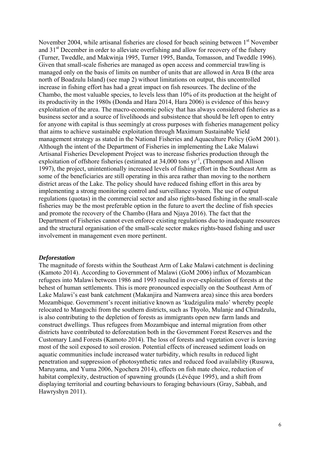November 2004, while artisanal fisheries are closed for beach seining between 1<sup>st</sup> November and 31<sup>st</sup> December in order to alleviate overfishing and allow for recovery of the fishery (Turner, Tweddle, and Makwinja 1995, Turner 1995, Banda, Tomasson, and Tweddle 1996). Given that small-scale fisheries are managed as open access and commercial trawling is managed only on the basis of limits on number of units that are allowed in Area B (the area north of Boadzulu Island) (see map 2) without limitations on output, this uncontrolled increase in fishing effort has had a great impact on fish resources. The decline of the Chambo, the most valuable species, to levels less than 10% of its production at the height of its productivity in the 1980s (Donda and Hara 2014, Hara 2006) is evidence of this heavy exploitation of the area. The macro-economic policy that has always considered fisheries as a business sector and a source of livelihoods and subsistence that should be left open to entry for anyone with capital is thus seemingly at cross purposes with fisheries management policy that aims to achieve sustainable exploitation through Maximum Sustainable Yield management strategy as stated in the National Fisheries and Aquaculture Policy (GoM 2001). Although the intent of the Department of Fisheries in implementing the Lake Malawi Artisanal Fisheries Development Project was to increase fisheries production through the exploitation of offshore fisheries (estimated at  $34,000$  tons yr<sup>-1</sup>, (Thompson and Allison 1997), the project, unintentionally increased levels of fishing effort in the Southeast Arm as some of the beneficiaries are still operating in this area rather than moving to the northern district areas of the Lake. The policy should have reduced fishing effort in this area by implementing a strong monitoring control and surveillance system. The use of output regulations (quotas) in the commercial sector and also rights-based fishing in the small-scale fisheries may be the most preferable option in the future to avert the decline of fish species and promote the recovery of the Chambo (Hara and Njaya 2016). The fact that the Department of Fisheries cannot even enforce existing regulations due to inadequate resources and the structural organisation of the small-scale sector makes rights-based fishing and user involvement in management even more pertinent.

#### *Deforestation*

The magnitude of forests within the Southeast Arm of Lake Malawi catchment is declining (Kamoto 2014). According to Government of Malawi (GoM 2006) influx of Mozambican refugees into Malawi between 1986 and 1993 resulted in over-exploitation of forests at the behest of human settlements. This is more pronounced especially on the Southeast Arm of Lake Malawi's east bank catchment (Makanjira and Namwera area) since this area borders Mozambique. Government's recent initiative known as 'kudzigulira malo' whereby people relocated to Mangochi from the southern districts, such as Thyolo, Mulanje and Chiradzulu, is also contributing to the depletion of forests as immigrants open new farm lands and construct dwellings. Thus refugees from Mozambique and internal migration from other districts have contributed to deforestation both in the Government Forest Reserves and the Customary Land Forests (Kamoto 2014). The loss of forests and vegetation cover is leaving most of the soil exposed to soil erosion. Potential effects of increased sediment loads on aquatic communities include increased water turbidity, which results in reduced light penetration and suppression of photosynthetic rates and reduced food availability (Rusuwa, Maruyama, and Yuma 2006, Ngochera 2014), effects on fish mate choice, reduction of habitat complexity, destruction of spawning grounds (Lévêque 1995), and a shift from displaying territorial and courting behaviours to foraging behaviours (Gray, Sabbah, and Hawryshyn 2011).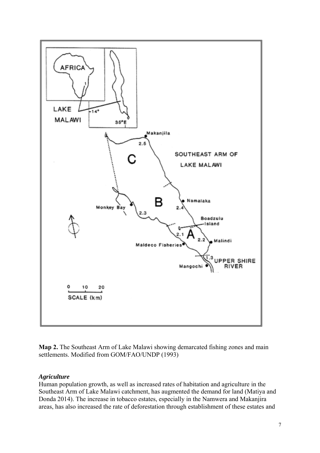

**Map 2.** The Southeast Arm of Lake Malawi showing demarcated fishing zones and main settlements. Modified from GOM/FAO/UNDP (1993)

## *Agriculture*

Human population growth, as well as increased rates of habitation and agriculture in the Southeast Arm of Lake Malawi catchment, has augmented the demand for land (Matiya and Donda 2014). The increase in tobacco estates, especially in the Namwera and Makanjira areas, has also increased the rate of deforestation through establishment of these estates and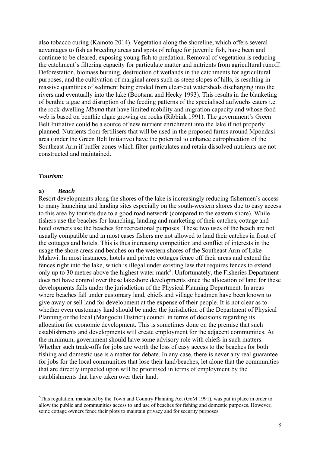also tobacco curing (Kamoto 2014). Vegetation along the shoreline, which offers several advantages to fish as breeding areas and spots of refuge for juvenile fish, have been and continue to be cleared, exposing young fish to predation. Removal of vegetation is reducing the catchment's filtering capacity for particulate matter and nutrients from agricultural runoff. Deforestation, biomass burning, destruction of wetlands in the catchments for agricultural purposes, and the cultivation of marginal areas such as steep slopes of hills, is resulting in massive quantities of sediment being eroded from clear-cut watersheds discharging into the rivers and eventually into the lake (Bootsma and Hecky 1993). This results in the blanketing of benthic algae and disruption of the feeding patterns of the specialised aufwuchs eaters i.e. the rock-dwelling *Mbuna* that have limited mobility and migration capacity and whose food web is based on benthic algae growing on rocks (Ribbink 1991). The government's Green Belt Initiative could be a source of new nutrient enrichment into the lake if not properly planned. Nutrients from fertilisers that will be used in the proposed farms around Mpondasi area (under the Green Belt Initiative) have the potential to enhance eutrophication of the Southeast Arm if buffer zones which filter particulates and retain dissolved nutrients are not constructed and maintained.

#### *Tourism:*

#### **a)** *Beach*

Resort developments along the shores of the lake is increasingly reducing fishermen's access to many launching and landing sites especially on the south-western shores due to easy access to this area by tourists due to a good road network (compared to the eastern shore). While fishers use the beaches for launching, landing and marketing of their catches, cottage and hotel owners use the beaches for recreational purposes. These two uses of the beach are not usually compatible and in most cases fishers are not allowed to land their catches in front of the cottages and hotels. This is thus increasing competition and conflict of interests in the usage the shore areas and beaches on the western shores of the Southeast Arm of Lake Malawi. In most instances, hotels and private cottages fence off their areas and extend the fences right into the lake, which is illegal under existing law that requires fences to extend only up to 30 metres above the highest water mark<sup>5</sup>. Unfortunately, the Fisheries Department does not have control over these lakeshore developments since the allocation of land for these developments falls under the jurisdiction of the Physical Planning Department. In areas where beaches fall under customary land, chiefs and village headmen have been known to give away or sell land for development at the expense of their people. It is not clear as to whether even customary land should be under the jurisdiction of the Department of Physical Planning or the local (Mangochi District) council in terms of decisions regarding its allocation for economic development. This is sometimes done on the premise that such establishments and developments will create employment for the adjacent communities. At the minimum, government should have some advisory role with chiefs in such matters. Whether such trade-offs for jobs are worth the loss of easy access to the beaches for both fishing and domestic use is a matter for debate. In any case, there is never any real guarantee for jobs for the local communities that lose their land/beaches, let alone that the communities that are directly impacted upon will be prioritised in terms of employment by the establishments that have taken over their land.

<sup>&</sup>lt;sup>5</sup>This regulation, mandated by the Town and Country Planning Act (GoM 1991), was put in place in order to allow the public and communities access to and use of beaches for fishing and domestic purposes. However, some cottage owners fence their plots to maintain privacy and for security purposes.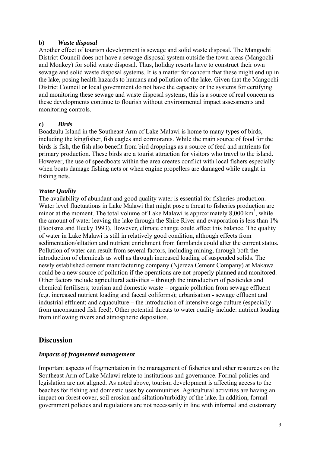## **b)** *Waste disposal*

Another effect of tourism development is sewage and solid waste disposal. The Mangochi District Council does not have a sewage disposal system outside the town areas (Mangochi and Monkey) for solid waste disposal. Thus, holiday resorts have to construct their own sewage and solid waste disposal systems. It is a matter for concern that these might end up in the lake, posing health hazards to humans and pollution of the lake. Given that the Mangochi District Council or local government do not have the capacity or the systems for certifying and monitoring these sewage and waste disposal systems, this is a source of real concern as these developments continue to flourish without environmental impact assessments and monitoring controls.

# **c)** *Birds*

Boadzulu Island in the Southeast Arm of Lake Malawi is home to many types of birds, including the kingfisher, fish eagles and cormorants. While the main source of food for the birds is fish, the fish also benefit from bird droppings as a source of feed and nutrients for primary production. These birds are a tourist attraction for visitors who travel to the island. However, the use of speedboats within the area creates conflict with local fishers especially when boats damage fishing nets or when engine propellers are damaged while caught in fishing nets.

## *Water Quality*

The availability of abundant and good quality water is essential for fisheries production. Water level fluctuations in Lake Malawi that might pose a threat to fisheries production are minor at the moment. The total volume of Lake Malawi is approximately  $8,000 \text{ km}^3$ , while the amount of water leaving the lake through the Shire River and evaporation is less than 1% (Bootsma and Hecky 1993). However, climate change could affect this balance. The quality of water in Lake Malawi is still in relatively good condition, although effects from sedimentation/siltation and nutrient enrichment from farmlands could alter the current status. Pollution of water can result from several factors, including mining, through both the introduction of chemicals as well as through increased loading of suspended solids. The newly established cement manufacturing company (Njereza Cement Company) at Makawa could be a new source of pollution if the operations are not properly planned and monitored. Other factors include agricultural activities – through the introduction of pesticides and chemical fertilisers; tourism and domestic waste – organic pollution from sewage effluent (e.g. increased nutrient loading and faecal coliforms); urbanisation - sewage effluent and industrial effluent; and aquaculture – the introduction of intensive cage culture (especially from unconsumed fish feed). Other potential threats to water quality include: nutrient loading from inflowing rivers and atmospheric deposition.

# **Discussion**

# *Impacts of fragmented management*

Important aspects of fragmentation in the management of fisheries and other resources on the Southeast Arm of Lake Malawi relate to institutions and governance. Formal policies and legislation are not aligned. As noted above, tourism development is affecting access to the beaches for fishing and domestic uses by communities. Agricultural activities are having an impact on forest cover, soil erosion and siltation/turbidity of the lake. In addition, formal government policies and regulations are not necessarily in line with informal and customary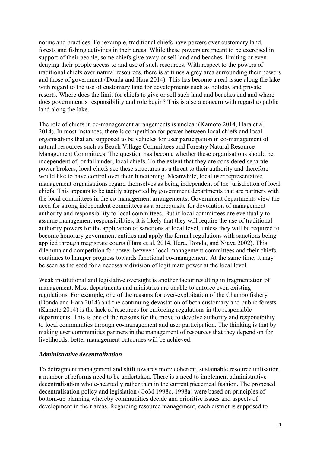norms and practices. For example, traditional chiefs have powers over customary land, forests and fishing activities in their areas. While these powers are meant to be exercised in support of their people, some chiefs give away or sell land and beaches, limiting or even denying their people access to and use of such resources. With respect to the powers of traditional chiefs over natural resources, there is at times a grey area surrounding their powers and those of government (Donda and Hara 2014). This has become a real issue along the lake with regard to the use of customary land for developments such as holiday and private resorts. Where does the limit for chiefs to give or sell such land and beaches end and where does government's responsibility and role begin? This is also a concern with regard to public land along the lake.

The role of chiefs in co-management arrangements is unclear (Kamoto 2014, Hara et al. 2014). In most instances, there is competition for power between local chiefs and local organisations that are supposed to be vehicles for user participation in co-management of natural resources such as Beach Village Committees and Forestry Natural Resource Management Committees. The question has become whether these organisations should be independent of, or fall under, local chiefs. To the extent that they are considered separate power brokers, local chiefs see these structures as a threat to their authority and therefore would like to have control over their functioning. Meanwhile, local user representative management organisations regard themselves as being independent of the jurisdiction of local chiefs. This appears to be tacitly supported by government departments that are partners with the local committees in the co-management arrangements. Government departments view the need for strong independent committees as a prerequisite for devolution of management authority and responsibility to local committees. But if local committees are eventually to assume management responsibilities, it is likely that they will require the use of traditional authority powers for the application of sanctions at local level, unless they will be required to become honorary government entities and apply the formal regulations with sanctions being applied through magistrate courts (Hara et al. 2014, Hara, Donda, and Njaya 2002). This dilemma and competition for power between local management committees and their chiefs continues to hamper progress towards functional co-management. At the same time, it may be seen as the seed for a necessary division of legitimate power at the local level.

Weak institutional and legislative oversight is another factor resulting in fragmentation of management. Most departments and ministries are unable to enforce even existing regulations. For example, one of the reasons for over-exploitation of the Chambo fishery (Donda and Hara 2014) and the continuing devastation of both customary and public forests (Kamoto 2014) is the lack of resources for enforcing regulations in the responsible departments. This is one of the reasons for the move to devolve authority and responsibility to local communities through co-management and user participation. The thinking is that by making user communities partners in the management of resources that they depend on for livelihoods, better management outcomes will be achieved.

## *Administrative decentralization*

To defragment management and shift towards more coherent, sustainable resource utilisation, a number of reforms need to be undertaken. There is a need to implement administrative decentralisation whole-heartedly rather than in the current piecemeal fashion. The proposed decentralisation policy and legislation (GoM 1998c, 1998a) were based on principles of bottom-up planning whereby communities decide and prioritise issues and aspects of development in their areas. Regarding resource management, each district is supposed to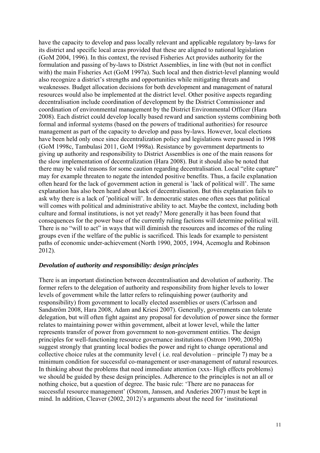have the capacity to develop and pass locally relevant and applicable regulatory by-laws for its district and specific local areas provided that these are aligned to national legislation (GoM 2004, 1996). In this context, the revised Fisheries Act provides authority for the formulation and passing of by-laws to District Assemblies, in line with (but not in conflict with) the main Fisheries Act (GoM 1997a). Such local and then district-level planning would also recognize a district's strengths and opportunities while mitigating threats and weaknesses. Budget allocation decisions for both development and management of natural resources would also be implemented at the district level. Other positive aspects regarding decentralisation include coordination of development by the District Commissioner and coordination of environmental management by the District Environmental Officer (Hara 2008). Each district could develop locally based reward and sanction systems combining both formal and informal systems (based on the powers of traditional authorities) for resource management as part of the capacity to develop and pass by-laws. However, local elections have been held only once since decentralization policy and legislations were passed in 1998 (GoM 1998c, Tambulasi 2011, GoM 1998a). Resistance by government departments to giving up authority and responsibility to District Assemblies is one of the main reasons for the slow implementation of decentralization (Hara 2008). But it should also be noted that there may be valid reasons for some caution regarding decentralisation. Local "elite capture" may for example threaten to negate the intended positive benefits. Thus, a facile explanation often heard for the lack of government action in general is 'lack of political will'. The same explanation has also been heard about lack of decentralisation. But this explanation fails to ask why there is a lack of 'political will'. In democratic states one often sees that political will comes with political and administrative ability to act. Maybe the context, including both culture and formal institutions, is not yet ready? More generally it has been found that consequences for the power base of the currently ruling factions will determine political will. There is no "will to act" in ways that will diminish the resources and incomes of the ruling groups even if the welfare of the public is sacrificed. This leads for example to persistent paths of economic under-achievement (North 1990, 2005, 1994, Acemoglu and Robinson 2012).

#### *Devolution of authority and responsibility: design principles*

There is an important distinction between decentralisation and devolution of authority. The former refers to the delegation of authority and responsibility from higher levels to lower levels of government while the latter refers to relinquishing power (authority and responsibility) from government to locally elected assemblies or users (Carlsson and Sandström 2008, Hara 2008, Adam and Kriesi 2007). Generally, governments can tolerate delegation, but will often fight against any proposal for devolution of power since the former relates to maintaining power within government, albeit at lower level, while the latter represents transfer of power from government to non-government entities. The design principles for well-functioning resource governance institutions (Ostrom 1990, 2005b) suggest strongly that granting local bodies the power and right to change operational and collective choice rules at the community level ( i.e. real devolution – principle 7) may be a minimum condition for successful co-management or user-management of natural resources. In thinking about the problems that need immediate attention (xxx- High effects problems) we should be guided by these design principles. Adherence to the principles is not an all or nothing choice, but a question of degree. The basic rule: 'There are no panaceas for successful resource management' (Ostrom, Janssen, and Anderies 2007) must be kept in mind. In addition, Cleaver (2002, 2012)'s arguments about the need for 'institutional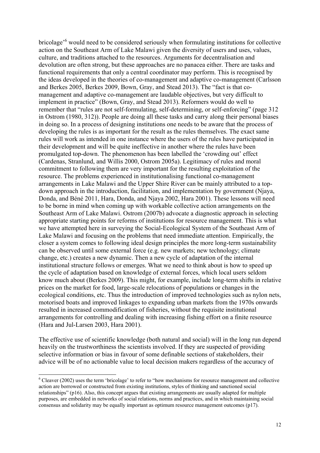bricolage<sup>,6</sup> would need to be considered seriously when formulating institutions for collective action on the Southeast Arm of Lake Malawi given the diversity of users and uses, values, culture, and traditions attached to the resources. Arguments for decentralisation and devolution are often strong, but these approaches are no panacea either. There are tasks and functional requirements that only a central coordinator may perform. This is recognised by the ideas developed in the theories of co-management and adaptive co-management (Carlsson and Berkes 2005, Berkes 2009, Bown, Gray, and Stead 2013). The "fact is that comanagement and adaptive co-management are laudable objectives, but very difficult to implement in practice" (Bown, Gray, and Stead 2013). Reformers would do well to remember that "rules are not self-formulating, self-determining, or self-enforcing" (page 312 in Ostrom (1980, 312)). People are doing all these tasks and carry along their personal biases in doing so. In a process of designing institutions one needs to be aware that the process of developing the rules is as important for the result as the rules themselves. The exact same rules will work as intended in one instance where the users of the rules have participated in their development and will be quite ineffective in another where the rules have been promulgated top-down. The phenomenon has been labelled the 'crowding out' effect (Cardenas, Stranlund, and Willis 2000, Ostrom 2005a). Legitimacy of rules and moral commitment to following them are very important for the resulting exploitation of the resource. The problems experienced in institutionalising functional co-management arrangements in Lake Malawi and the Upper Shire River can be mainly attributed to a topdown approach in the introduction, facilitation, and implementation by government (Njaya, Donda, and Béné 2011, Hara, Donda, and Njaya 2002, Hara 2001). These lessons will need to be borne in mind when coming up with workable collective action arrangements on the Southeast Arm of Lake Malawi. Ostrom (2007b) advocate a diagnostic approach in selecting appropriate starting points for reforms of institutions for resource management. This is what we have attempted here in surveying the Social-Ecological System of the Southeast Arm of Lake Malawi and focusing on the problems that need immediate attention. Empirically, the closer a system comes to following ideal design principles the more long-term sustainability can be observed until some external force (e.g. new markets; new technology; climate change, etc.) creates a new dynamic. Then a new cycle of adaptation of the internal institutional structure follows or emerges. What we need to think about is how to speed up the cycle of adaptation based on knowledge of external forces, which local users seldom know much about (Berkes 2009). This might, for example, include long-term shifts in relative prices on the market for food, large-scale relocations of populations or changes in the ecological conditions, etc. Thus the introduction of improved technologies such as nylon nets, motorised boats and improved linkages to expanding urban markets from the 1970s onwards resulted in increased commodification of fisheries, without the requisite institutional arrangements for controlling and dealing with increasing fishing effort on a finite resource (Hara and Jul-Larsen 2003, Hara 2001).

The effective use of scientific knowledge (both natural and social) will in the long run depend heavily on the trustworthiness the scientists involved. If they are suspected of providing selective information or bias in favour of some definable sections of stakeholders, their advice will be of no actionable value to local decision makers regardless of the accuracy of

<sup>&</sup>lt;sup>6</sup> Cleaver (2002) uses the term 'bricolage' to refer to "how mechanisms for resource management and collective action are borrowed or constructed from existing institutions, styles of thinking and sanctioned social relationships" (p16). Also, this concept argues that existing arrangements are usually adapted for multiple purposes, are embedded in networks of social relations, norms and practices, and in which maintaining social consensus and solidarity may be equally important as optimum resource management outcomes (p17).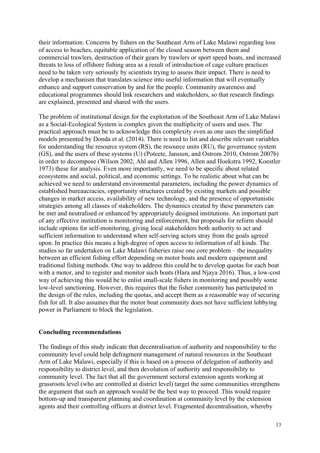their information. Concerns by fishers on the Southeast Arm of Lake Malawi regarding loss of access to beaches, equitable application of the closed season between them and commercial trawlers, destruction of their gears by trawlers or sport speed boats, and increased threats to loss of offshore fishing area as a result of introduction of cage culture practices need to be taken very seriously by scientists trying to assess their impact. There is need to develop a mechanism that translates science into useful information that will eventually enhance and support conservation by and for the people. Community awareness and educational programmes should link researchers and stakeholders, so that research findings are explained, presented and shared with the users.

The problem of institutional design for the exploitation of the Southeast Arm of Lake Malawi as a Social-Ecological System is complex given the multiplicity of users and uses. The practical approach must be to acknowledge this complexity even as one uses the simplified models presented by Donda et al. (2014). There is need to list and describe relevant variables for understanding the resource system (RS), the resource units (RU), the governance system (GS), and the users of these systems (U) (Poteete, Janssen, and Ostrom 2010, Ostrom 2007b) in order to decompose (Wilson 2002, Ahl and Allen 1996, Allen and Hoekstra 1992, Koestler 1973) these for analysis. Even more importantly, we need to be specific about related ecosystems and social, political, and economic settings. To be realistic about what can be achieved we need to understand environmental parameters, including the power dynamics of established bureaucracies, opportunity structures created by existing markets and possible changes in market access, availability of new technology, and the presence of opportunistic strategies among all classes of stakeholders. The dynamics created by these parameters can be met and neutralised or enhanced by appropriately designed institutions. An important part of any effective institution is monitoring and enforcement, but proposals for reform should include options for self-monitoring, giving local stakeholders both authority to act and sufficient information to understand when self-serving actors stray from the goals agreed upon. In practice this means a high degree of open access to information of all kinds. The studies so far undertaken on Lake Malawi fisheries raise one core problem – the inequality between an efficient fishing effort depending on motor boats and modern equipment and traditional fishing methods. One way to address this could be to develop quotas for each boat with a motor, and to register and monitor such boats (Hara and Njaya 2016). Thus, a low-cost way of achieving this would be to enlist small-scale fishers in monitoring and possibly some low-level sanctioning. However, this requires that the fisher community has participated in the design of the rules, including the quotas, and accept them as a reasonable way of securing fish for all. It also assumes that the motor boat community does not have sufficient lobbying power in Parliament to block the legislation.

## **Concluding recommendations**

The findings of this study indicate that decentralisation of authority and responsibility to the community level could help defragment management of natural resources in the Southeast Arm of Lake Malawi, especially if this is based on a process of delegation of authority and responsibility to district level, and then devolution of authority and responsibility to community level. The fact that all the government sectoral extension agents working at grassroots level (who are controlled at district level) target the same communities strengthens the argument that such an approach would be the best way to proceed. This would require bottom-up and transparent planning and coordination at community level by the extension agents and their controlling officers at district level. Fragmented decentralisation, whereby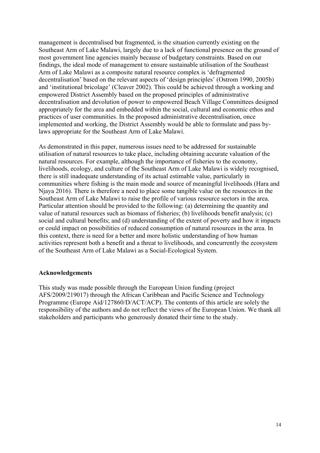management is decentralised but fragmented, is the situation currently existing on the Southeast Arm of Lake Malawi, largely due to a lack of functional presence on the ground of most government line agencies mainly because of budgetary constraints. Based on our findings, the ideal mode of management to ensure sustainable utilisation of the Southeast Arm of Lake Malawi as a composite natural resource complex is 'defragmented decentralisation' based on the relevant aspects of 'design principles' (Ostrom 1990, 2005b) and 'institutional bricolage' (Cleaver 2002). This could be achieved through a working and empowered District Assembly based on the proposed principles of administrative decentralisation and devolution of power to empowered Beach Village Committees designed appropriately for the area and embedded within the social, cultural and economic ethos and practices of user communities. In the proposed administrative decentralisation, once implemented and working, the District Assembly would be able to formulate and pass bylaws appropriate for the Southeast Arm of Lake Malawi.

As demonstrated in this paper, numerous issues need to be addressed for sustainable utilisation of natural resources to take place, including obtaining accurate valuation of the natural resources. For example, although the importance of fisheries to the economy, livelihoods, ecology, and culture of the Southeast Arm of Lake Malawi is widely recognised, there is still inadequate understanding of its actual estimable value, particularly in communities where fishing is the main mode and source of meaningful livelihoods (Hara and Njaya 2016). There is therefore a need to place some tangible value on the resources in the Southeast Arm of Lake Malawi to raise the profile of various resource sectors in the area. Particular attention should be provided to the following: (a) determining the quantity and value of natural resources such as biomass of fisheries; (b) livelihoods benefit analysis; (c) social and cultural benefits; and (d) understanding of the extent of poverty and how it impacts or could impact on possibilities of reduced consumption of natural resources in the area. In this context, there is need for a better and more holistic understanding of how human activities represent both a benefit and a threat to livelihoods, and concurrently the ecosystem of the Southeast Arm of Lake Malawi as a Social-Ecological System.

## **Acknowledgements**

This study was made possible through the European Union funding (project AFS/2009/219017) through the African Caribbean and Pacific Science and Technology Programme (Europe Aid/127860/D/ACT/ACP). The contents of this article are solely the responsibility of the authors and do not reflect the views of the European Union. We thank all stakeholders and participants who generously donated their time to the study.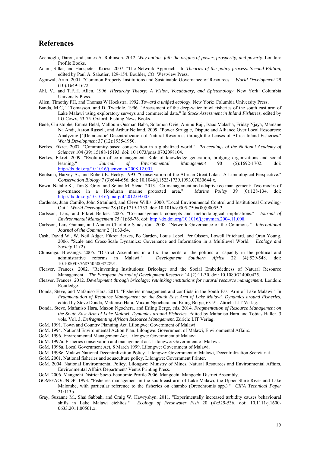## **References**

- Acemoglu, Daron, and James A. Robinson. 2012. *Why nations fail: the origins of power, prosperity, and poverty*. London: Profile Books.
- Adam, Silke, and Hanspeter Kriesi. 2007. "The Network Approach." In *Theories of the policy process. Second Edition*, edited by Paul A. Sabatier, 129-154. Boulder, CO: Westview Press.
- Agrawal, Arun. 2001. "Common Property Institutions and Sustainable Governance of Resources." *World Development* 29 (10):1649-1672.
- Ahl, V., and T.F.H. Allen. 1996. *Hierarchy Theory: A Vision, Vocabulary, and Epistemology*. New York: Columbia University Press.
- Allen, Timothy FH, and Thomas W Hoekstra. 1992. *Toward a unified ecology*. New York: Columbia University Press.
- Banda, M.C, T Tomasson, and D. Tweddle. 1996. "Assessment of the deep-water trawl fisheries of the south east arm of Lake Malawi using exploratory surveys and commercial data." In *Stock Assessment in Inland Fisheries*, edited by I.G Cowx, 53-75. Oxford: Fishing News Books.
- Béné, Christophe, Emma Belal, Malloum Ousman Baba, Solomon Ovie, Aminu Raji, Isaac Malasha, Friday Njaya, Mamane Na Andi, Aaron Russell, and Arthur Neiland. 2009. "Power Struggle, Dispute and Alliance Over Local Resources: Analyzing [`]Democratic' Decentralization of Natural Resources through the Lenses of Africa Inland Fisheries." *World Development* 37 (12):1935-1950.
- Berkes, Fikret. 2007. "Community-based conservation in a globalized world." *Proceedings of the National Academy of Sciences* 104 (39):15188-15193. doi: 10.1073/pnas.0702098104.
- Berkes, Fikret. 2009. "Evolution of co-management: Role of knowledge generation, bridging organizations and social learning." *Journal of Environmental Management* 90 (5):1692-1702. doi: http://dx.doi.org/10.1016/j.jenvman.2008.12.001.
- Bootsma, Harvey A., and Robert E. Hecky. 1993. "Conservation of the African Great Lakes: A Limnological Perspective." *Conservation Biology* 7 (3):644-656. doi: 10.1046/j.1523-1739.1993.07030644.x.
- Bown, Natalie K., Tim S. Gray, and Selina M. Stead. 2013. "Co-management and adaptive co-management: Two modes of governance in a Honduran marine protected area." *Marine Policy* 39 (0):128-134. doi: http://dx.doi.org/10.1016/j.marpol.2012.09.005.
- Cardenas, Juan Camilo, John Stranlund, and Cleve Willis. 2000. "Local Environmental Control and Institutional Crowding-Out." *World Development* 28 (10):1719-1733. doi: 10.1016/s0305-750x(00)00055-3.
- Carlsson, Lars, and Fikret Berkes. 2005. "Co-management: concepts and methodological implications." *Journal of Environmental Management* 75 (1):65-76. doi: http://dx.doi.org/10.1016/j.jenvman.2004.11.008.
- Carlsson, Lars Gunnar, and Annica Charlotte Sandström. 2008. "Network Governance of the Commons." *International Journal of the Commons* 2 (1):33-54.
- Cash, David W., W. Neil Adger, Fikret Berkes, Po Garden, Louis Lebel, Per Olsson, Lowell Pritchard, and Oran Young. 2006. "Scale and Cross-Scale Dynamics: Governance and Information in a Multilevel World." *Ecology and Society* 11 (2).
- Chinsinga, Blessings. 2005. "District Assemblies in a fix: the perils of the politics of capacity in the political and administrative reforms in Malawi." *Development Southern Africa* 22 (4):529-548. 10.1080/03768350500322891.
- Cleaver, Frances. 2002. "Reinventing Institutions: Bricolage and the Social Embeddedness of Natural Resource Management." *The European Journal of Development Research* 14 (2):11-30. doi: 10.1080/714000425.
- Cleaver, Frances. 2012. *Development through bricolage: rethinking institutions for natural resource management*. London: Routledge.
- Donda, Steve, and Mafaniso Hara. 2014. "Fisheries management and conflicts in the South East Arm of Lake Malawi." In *Fragmentation of Resource Management on the South East Arm of Lake Malawi. Dynamics around Fisheries*, edited by Steve Donda, Mafaniso Hara, Maxon Ngochera and Erling Berge, 63-91. Zürich: LIT Verlag.
- Donda, Steve, Mafaniso Hara, Maxon Ngochera, and Erling Berge, eds. 2014. *Fragmentation of Resource Management on the South East Arm of Lake Malawi. Dynamics around Fisheries*. Edited by Mafaniso Hara and Tobias Haller. 3 vols. Vol. 3, *Defragmenting African Resource Management*. Zürich: LIT Verlag.
- GoM. 1991. Town and Country Planning Act. Lilongwe: Government of Malawi.
- GoM. 1994. National Environmental Action Plan. Lilongwe: Government of Malawi, Environmental Affairs.
- GoM. 1996. Environmental Management Act. Lilongwe: Government of Malawi.
- GoM. 1997a. Fisheries conservation and management act. Lilongwe: Government of Malawi.
- GoM. 1998a. Local Government Act, 8 March 1999. Lilongwe: Government of Malawi.
- GoM. 1998c. Malawi National Decentralization Policy. Lilongwe: Government of Malawi, Decentralization Secretariat.
- GoM. 2001. National fisheries and aquaculture policy. Lilongwe: Government Printer.
- GoM. 2004. National Environmental Policy. Lilongwe: Ministry of Mines, Natural Resources and Environmental Affairs, Environmental Affairs Department/ Venus Printing Press.
- GoM. 2006. Mangochi District Socio-Economic Profile 2006. Mangochi: Mangochi District Assembly.
- GOM/FAO/UNDP. 1993. "Fisheries management in the south-east arm of Lake Malawi, the Upper Shire River and Lake Malombe, with particular reference to the fisheries on chambo (Oreochromis spp.)." *CIFA Technical Paper* 21:113p.
- Gray, Suzanne M., Shai Sabbah, and Craig W. Hawryshyn. 2011. "Experimentally increased turbidity causes behavioural shifts in Lake Malawi cichlids." *Ecology of Freshwater Fish* 20 (4):529-536. doi: 10.1111/j.1600- 0633.2011.00501.x.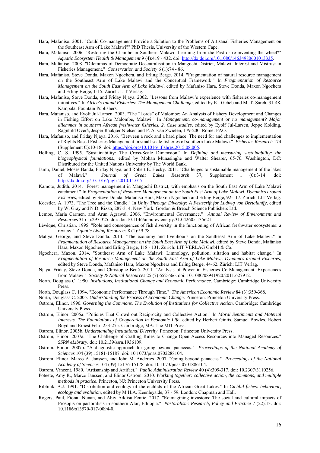Hara, Mafaniso. 2001. "Could Co-management Provide a Solution to the Problems of Artisanal Fisheries Management on the Southeast Arm of Lake Malawi?" PhD Thesis, University of the Western Cape.

- Hara, Mafaniso. 2006. "Restoring the Chambo in Southern Malawi: Learning from the Past or re-inventing the wheel?" *Aquatic Ecosystem Health & Management* 9 (4):419 - 432. doi: http://dx.doi.org/10.1080/14634980601013335.
- Hara, Mafaniso. 2008. "Dilemmas of Democratic Decentralisation in Mangochi District, Malawi: Interest and Mistrust in Fisheries Management." *Conservation and Society* 6 (1):74 - 86.
- Hara, Mafaniso, Steve Donda, Maxon Ngochera, and Erling Berge. 2014. "Fragmentation of natural resource management on the Southeast Arm of Lake Malawi and the Conceptual Framework." In *Fragmentation of Resource Management on the South East Arm of Lake Malawi*, edited by Mafaniso Hara, Steve Donda, Maxon Ngochera and Erling Berge, 1-15. Zürich: LIT Verlag.
- Hara, Mafaniso, Steve Donda, and Friday Njaya. 2002. "Lessons from Malawi's experience with fisheries co-management initiatives." In *Africa's Inland Fisheries: The Management Challenge*, edited by K. Geheb and M. T. Sarch, 31-48. Kampala: Fountain Publishers.
- Hara, Mafaniso, and Eyolf Jul-Larsen. 2003. "The "Lords" of Malombe; An Analysis of Fishery Development and Changes in Fishing Effort on Lake Malombe, Malawi." In *Management, co-management or no management? Major dilemmas in southern African freshwater fisheries. 2. Case studies*, edited by Eyolf Jul-Larsen, Jeppe Kolding, Ragnhild Overå, Jesper Raakjær Nielsen and P. A. van Zwieten, 179-200. Rome: FAO.
- Hara, Mafaniso, and Friday Njaya. 2016. "Between a rock and a hard place: The need for and challenges to implementation of Rights Based Fisheries Management in small-scale fisheries of southern Lake Malawi." *Fisheries Research* 174 (Supplement C):10-18. doi: https://doi.org/10.1016/j.fishres.2015.08.005.
- Holling, C. S. 1995. "Sustainability: The Cross-Scale Dimension." In *Defining and measuring sustainability: the biogeophysical foundations.*, edited by Mohan Munasinghe and Walter Shearer, 65-76. Washington, DC: Distributed for the United Nations University by The World Bank.
- Jamu, Daniel, Moses Banda, Friday Njaya, and Robert E. Hecky. 2011. "Challenges to sustainable management of the lakes of Malawi." *Journal of Great Lakes Research* 37, Supplement 1 (0):3-14. http://dx.doi.org/10.1016/j.jglr.2010.11.017.
- Kamoto, Judith. 2014. "Forest management in Mangochi District, with emphasis on the South East Arm of Lake Malawi catchment." In *Fragmentation of Resource Management on the South East Arm of Lake Malawi. Dynamics around Fisheries*, edited by Steve Donda, Mafaniso Hara, Maxon Ngochera and Erling Berge, 92-117. Zürich: LIT Verlag.
- Koestler, A. 1973. "The Tree and the Candle." In *Unity Through Diversity: A Festscrift for Ludwig von Bertalanffy*, edited by W. Gray and N.D. Rizzo, 287-314. New York: Gordon & Breach Science Publishers Ltd.
- Lemos, Maria Carmen, and Arun Agrawal. 2006. "Environmental Governance." *Annual Review of Environment and Resources* 31 (1):297-325. doi: doi:10.1146/annurev.energy.31.042605.135621.
- Lévêque, Christian. 1995. "Role and consequences of fish diversity in the functioning of African freshwater ecosystems: a review." *Aquatic Living Resources* 8 (1):59-78.
- Matiya, George, and Steve Donda. 2014. "The economy and livelihoods on the Southeast Arm of Lake Malawi." In *Fragmentation of Resource Management on the South East Arm of Lake Malawi*, edited by Steve Donda, Mafaniso Hara, Maxon Ngochera and Erling Berge, 118 - 131. Zurich: LIT VERLAG GmbH & Co.
- Ngochera, Maxon. 2014. "Southeast Arm of Lake Malawi: Limnology, pollution, siltation and habitat change." In *Fragmentation of Resource Management on the South East Arm of Lake Malawi. Dynamics around Fisheries*, edited by Steve Donda, Mafaniso Hara, Maxon Ngochera and Erling Berge, 44-62. Zürich: LIT Verlag.
- Njaya, Friday, Steve Donda, and Christophe Béné. 2011. "Analysis of Power in Fisheries Co-Management: Experiences from Malawi." *Society & Natural Resources* 25 (7):652-666. doi: 10.1080/08941920.2011.627912.
- North, Douglass C. 1990. *Institutions, Institutional Change and Economic Performance*. Cambridge: Cambridge University Press.
- North, Douglass C. 1994. "Economic Performance Through Time." *The American Economic Review* 84 (3):359-368.
- North, Douglass C. 2005. *Understanding the Process of Economic Change*. Princeton: Princeton University Press.
- Ostrom, Elinor. 1990. *Governing the Commons. The Evolution of Institutions for Collective Action*. Cambridge: Cambridge University Press.
- Ostrom, Elinor. 2005a. "Policies That Crowd out Reciprocity and Collective Action." In *Moral Sentiments and Material Interests. The Foundations of Cooperation in Economic Life*, edited by Herbert Gintis, Samuel Bowles, Robert Boyd and Ernest Fehr, 253-275. Cambridge, MA: The MIT Press.
- Ostrom, Elinor. 2005b. *Understanding Institutional Diversity*. Princeton: Princeton University Press.
- Ostrom, Elinor. 2007a. "The Challenge of Crafting Rules to Change Open Access Resources into Managed Resources." *SSRN eLibrary*. doi: 10.2139/ssrn.1936109.
- Ostrom, Elinor. 2007b. "A diagnostic approach for going beyond panaceas." *Proceedings of the National Academy of Sciences* 104 (39):15181-15187. doi: 10.1073/pnas.0702288104.
- Ostrom, Elinor, Marco A. Janssen, and John M. Anderies. 2007. "Going beyond panaceas." *Proceedings of the National Academy of Sciences* 104 (39):15176-15178. doi: 10.1073/pnas.0701886104.
- Ostrom, Vincent. 1980. "Artisanship and Artifact." *Public Administration Review* 40 (4):309-317. doi: 10.2307/3110256.
- Poteete, Amy R., Marco Janssen, and Elinor Ostrom. 2010. *Working together: collective action, the commons, and multiple methods in practice*. Princeton, NJ: Princeton University Press.
- Ribbink, A.J. 1991. "Distribution and ecology of the cichlids of the African Great Lakes." In *Cichlid fishes: behaviour, ecology and evolution*, edited by M.H.A. Keenleyside, 37 - 59. London: Chapman and Hall.
- Rogers, Paul, Fiona Nunan, and Abiy Addisu Fentie. 2017. "Reimagining invasions: The social and cultural impacts of Prosopis on pastoralists in southern Afar, Ethiopia." *Pastoralism: Research, Policy and Practice* 7 (22):13. doi: 10.1186/s13570-017-0094-0.